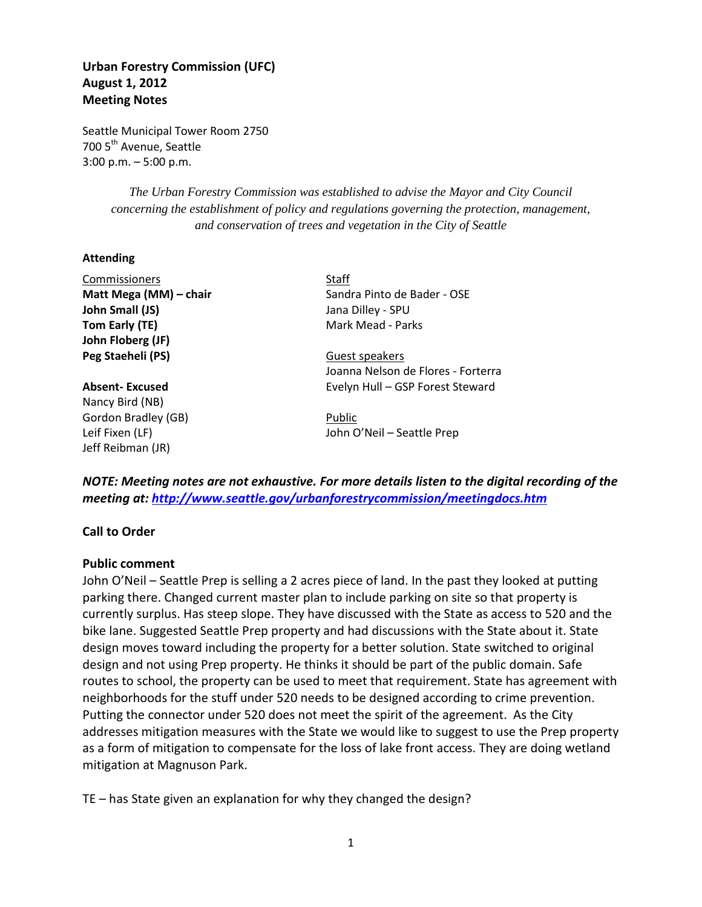# **Urban Forestry Commission (UFC) August 1, 2012 Meeting Notes**

Seattle Municipal Tower Room 2750 700 5<sup>th</sup> Avenue, Seattle 3:00 p.m. – 5:00 p.m.

Commissioners Staff

*The Urban Forestry Commission was established to advise the Mayor and City Council concerning the establishment of policy and regulations governing the protection, management, and conservation of trees and vegetation in the City of Seattle*

#### **Attending**

| COMMISSIONERS          | ડાતાા                              |
|------------------------|------------------------------------|
| Matt Mega (MM) – chair | Sandra Pinto de Bader - OSE        |
| John Small (JS)        | Jana Dilley - SPU                  |
| Tom Early (TE)         | Mark Mead - Parks                  |
| John Floberg (JF)      |                                    |
| Peg Staeheli (PS)      | Guest speakers                     |
|                        | Joanna Nelson de Flores - Forterra |
| <b>Absent-Excused</b>  | Evelyn Hull - GSP Forest Steward   |
| Nancy Bird (NB)        |                                    |
| Gordon Bradley (GB)    | Public                             |
| Leif Fixen (LF)        | John O'Neil - Seattle Prep         |
| Jeff Reibman (JR)      |                                    |
|                        |                                    |

*NOTE: Meeting notes are not exhaustive. For more details listen to the digital recording of the meeting at:<http://www.seattle.gov/urbanforestrycommission/meetingdocs.htm>*

#### **Call to Order**

#### **Public comment**

John O'Neil – Seattle Prep is selling a 2 acres piece of land. In the past they looked at putting parking there. Changed current master plan to include parking on site so that property is currently surplus. Has steep slope. They have discussed with the State as access to 520 and the bike lane. Suggested Seattle Prep property and had discussions with the State about it. State design moves toward including the property for a better solution. State switched to original design and not using Prep property. He thinks it should be part of the public domain. Safe routes to school, the property can be used to meet that requirement. State has agreement with neighborhoods for the stuff under 520 needs to be designed according to crime prevention. Putting the connector under 520 does not meet the spirit of the agreement. As the City addresses mitigation measures with the State we would like to suggest to use the Prep property as a form of mitigation to compensate for the loss of lake front access. They are doing wetland mitigation at Magnuson Park.

TE – has State given an explanation for why they changed the design?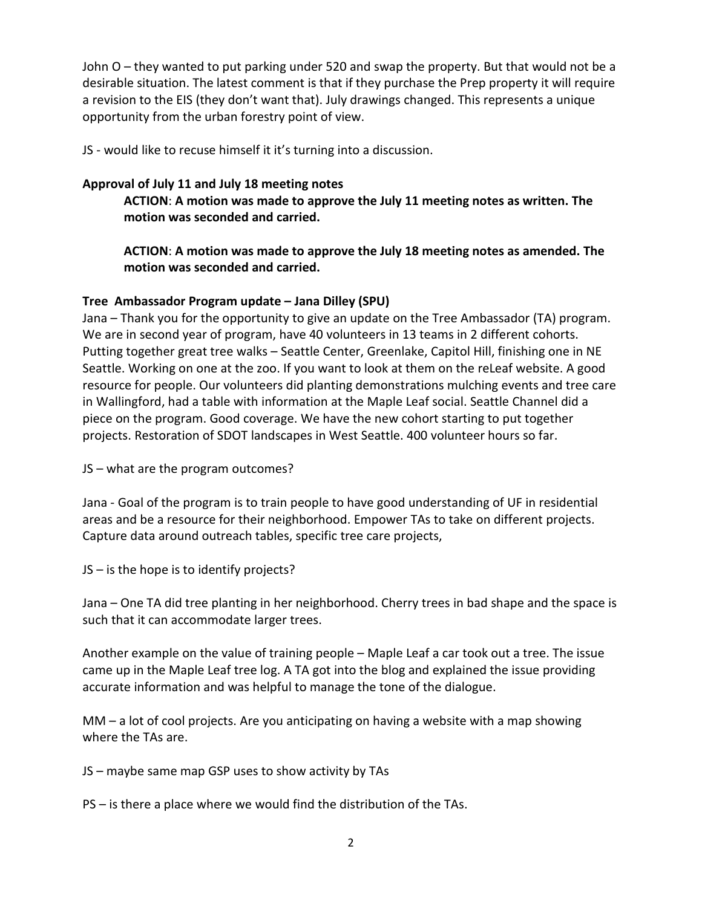John O – they wanted to put parking under 520 and swap the property. But that would not be a desirable situation. The latest comment is that if they purchase the Prep property it will require a revision to the EIS (they don't want that). July drawings changed. This represents a unique opportunity from the urban forestry point of view.

JS - would like to recuse himself it it's turning into a discussion.

## **Approval of July 11 and July 18 meeting notes**

**ACTION**: **A motion was made to approve the July 11 meeting notes as written. The motion was seconded and carried.** 

**ACTION**: **A motion was made to approve the July 18 meeting notes as amended. The motion was seconded and carried.** 

### **Tree Ambassador Program update – Jana Dilley (SPU)**

Jana – Thank you for the opportunity to give an update on the Tree Ambassador (TA) program. We are in second year of program, have 40 volunteers in 13 teams in 2 different cohorts. Putting together great tree walks – Seattle Center, Greenlake, Capitol Hill, finishing one in NE Seattle. Working on one at the zoo. If you want to look at them on the reLeaf website. A good resource for people. Our volunteers did planting demonstrations mulching events and tree care in Wallingford, had a table with information at the Maple Leaf social. Seattle Channel did a piece on the program. Good coverage. We have the new cohort starting to put together projects. Restoration of SDOT landscapes in West Seattle. 400 volunteer hours so far.

JS – what are the program outcomes?

Jana - Goal of the program is to train people to have good understanding of UF in residential areas and be a resource for their neighborhood. Empower TAs to take on different projects. Capture data around outreach tables, specific tree care projects,

JS – is the hope is to identify projects?

Jana – One TA did tree planting in her neighborhood. Cherry trees in bad shape and the space is such that it can accommodate larger trees.

Another example on the value of training people – Maple Leaf a car took out a tree. The issue came up in the Maple Leaf tree log. A TA got into the blog and explained the issue providing accurate information and was helpful to manage the tone of the dialogue.

MM – a lot of cool projects. Are you anticipating on having a website with a map showing where the TAs are.

JS – maybe same map GSP uses to show activity by TAs

PS – is there a place where we would find the distribution of the TAs.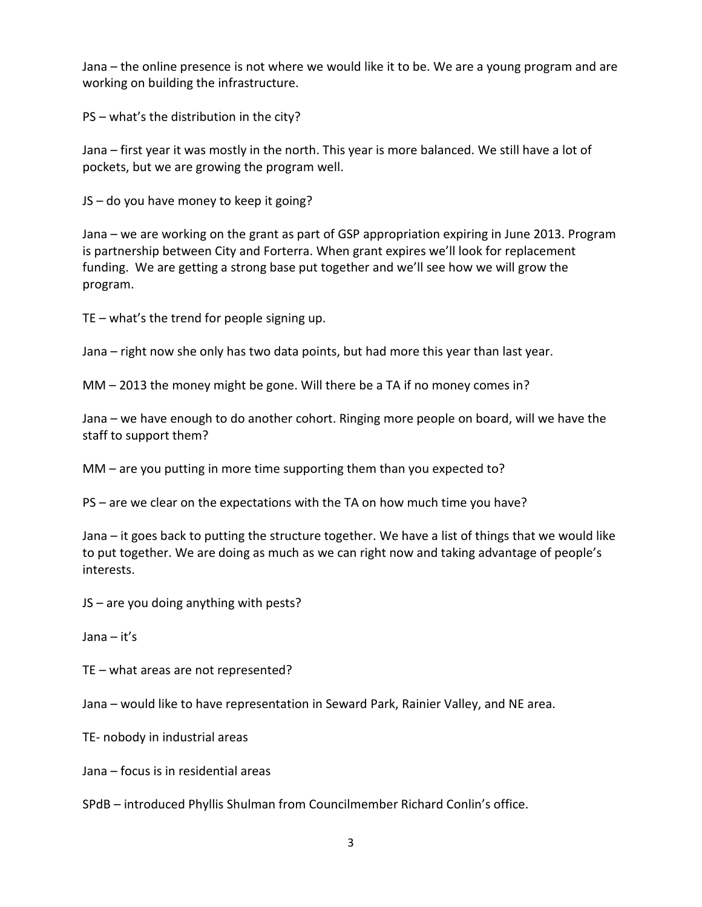Jana – the online presence is not where we would like it to be. We are a young program and are working on building the infrastructure.

PS – what's the distribution in the city?

Jana – first year it was mostly in the north. This year is more balanced. We still have a lot of pockets, but we are growing the program well.

JS – do you have money to keep it going?

Jana – we are working on the grant as part of GSP appropriation expiring in June 2013. Program is partnership between City and Forterra. When grant expires we'll look for replacement funding. We are getting a strong base put together and we'll see how we will grow the program.

TE – what's the trend for people signing up.

Jana – right now she only has two data points, but had more this year than last year.

MM – 2013 the money might be gone. Will there be a TA if no money comes in?

Jana – we have enough to do another cohort. Ringing more people on board, will we have the staff to support them?

MM – are you putting in more time supporting them than you expected to?

PS – are we clear on the expectations with the TA on how much time you have?

Jana – it goes back to putting the structure together. We have a list of things that we would like to put together. We are doing as much as we can right now and taking advantage of people's interests.

JS – are you doing anything with pests?

Jana – it's

TE – what areas are not represented?

Jana – would like to have representation in Seward Park, Rainier Valley, and NE area.

TE- nobody in industrial areas

Jana – focus is in residential areas

SPdB – introduced Phyllis Shulman from Councilmember Richard Conlin's office.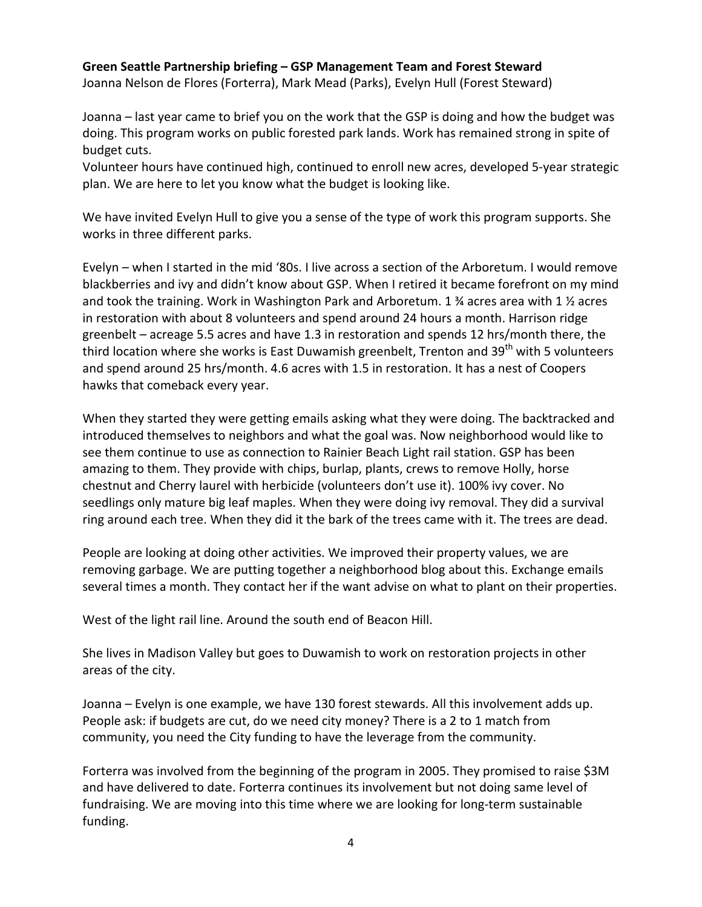### **Green Seattle Partnership briefing – GSP Management Team and Forest Steward**

Joanna Nelson de Flores (Forterra), Mark Mead (Parks), Evelyn Hull (Forest Steward)

Joanna – last year came to brief you on the work that the GSP is doing and how the budget was doing. This program works on public forested park lands. Work has remained strong in spite of budget cuts.

Volunteer hours have continued high, continued to enroll new acres, developed 5-year strategic plan. We are here to let you know what the budget is looking like.

We have invited Evelyn Hull to give you a sense of the type of work this program supports. She works in three different parks.

Evelyn – when I started in the mid '80s. I live across a section of the Arboretum. I would remove blackberries and ivy and didn't know about GSP. When I retired it became forefront on my mind and took the training. Work in Washington Park and Arboretum. 1  $\frac{3}{4}$  acres area with 1  $\frac{1}{2}$  acres in restoration with about 8 volunteers and spend around 24 hours a month. Harrison ridge greenbelt – acreage 5.5 acres and have 1.3 in restoration and spends 12 hrs/month there, the third location where she works is East Duwamish greenbelt, Trenton and  $39<sup>th</sup>$  with 5 volunteers and spend around 25 hrs/month. 4.6 acres with 1.5 in restoration. It has a nest of Coopers hawks that comeback every year.

When they started they were getting emails asking what they were doing. The backtracked and introduced themselves to neighbors and what the goal was. Now neighborhood would like to see them continue to use as connection to Rainier Beach Light rail station. GSP has been amazing to them. They provide with chips, burlap, plants, crews to remove Holly, horse chestnut and Cherry laurel with herbicide (volunteers don't use it). 100% ivy cover. No seedlings only mature big leaf maples. When they were doing ivy removal. They did a survival ring around each tree. When they did it the bark of the trees came with it. The trees are dead.

People are looking at doing other activities. We improved their property values, we are removing garbage. We are putting together a neighborhood blog about this. Exchange emails several times a month. They contact her if the want advise on what to plant on their properties.

West of the light rail line. Around the south end of Beacon Hill.

She lives in Madison Valley but goes to Duwamish to work on restoration projects in other areas of the city.

Joanna – Evelyn is one example, we have 130 forest stewards. All this involvement adds up. People ask: if budgets are cut, do we need city money? There is a 2 to 1 match from community, you need the City funding to have the leverage from the community.

Forterra was involved from the beginning of the program in 2005. They promised to raise \$3M and have delivered to date. Forterra continues its involvement but not doing same level of fundraising. We are moving into this time where we are looking for long-term sustainable funding.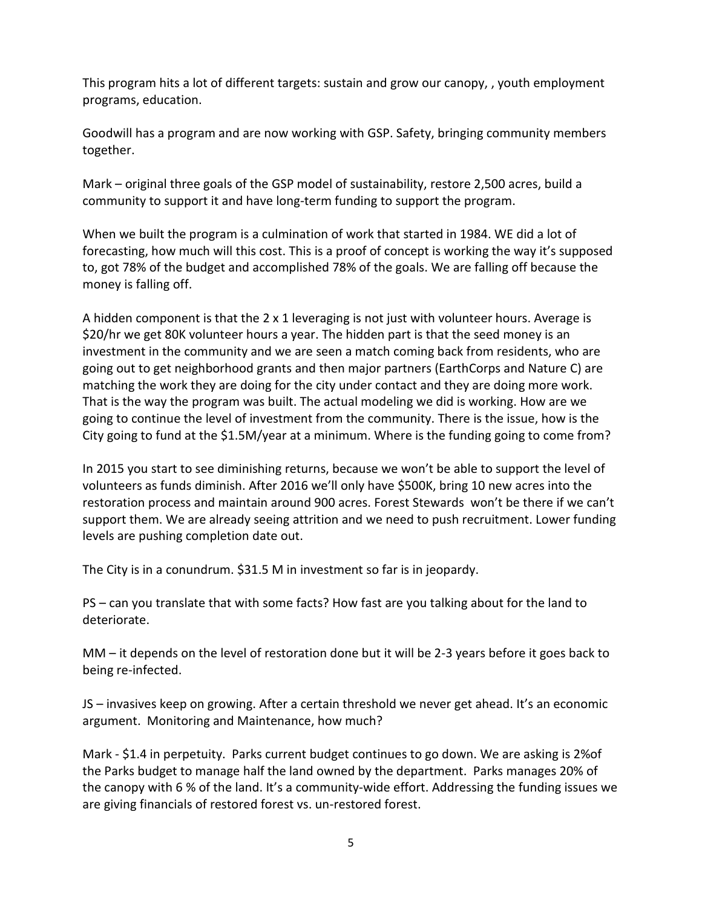This program hits a lot of different targets: sustain and grow our canopy, , youth employment programs, education.

Goodwill has a program and are now working with GSP. Safety, bringing community members together.

Mark – original three goals of the GSP model of sustainability, restore 2,500 acres, build a community to support it and have long-term funding to support the program.

When we built the program is a culmination of work that started in 1984. WE did a lot of forecasting, how much will this cost. This is a proof of concept is working the way it's supposed to, got 78% of the budget and accomplished 78% of the goals. We are falling off because the money is falling off.

A hidden component is that the 2 x 1 leveraging is not just with volunteer hours. Average is \$20/hr we get 80K volunteer hours a year. The hidden part is that the seed money is an investment in the community and we are seen a match coming back from residents, who are going out to get neighborhood grants and then major partners (EarthCorps and Nature C) are matching the work they are doing for the city under contact and they are doing more work. That is the way the program was built. The actual modeling we did is working. How are we going to continue the level of investment from the community. There is the issue, how is the City going to fund at the \$1.5M/year at a minimum. Where is the funding going to come from?

In 2015 you start to see diminishing returns, because we won't be able to support the level of volunteers as funds diminish. After 2016 we'll only have \$500K, bring 10 new acres into the restoration process and maintain around 900 acres. Forest Stewards won't be there if we can't support them. We are already seeing attrition and we need to push recruitment. Lower funding levels are pushing completion date out.

The City is in a conundrum. \$31.5 M in investment so far is in jeopardy.

PS – can you translate that with some facts? How fast are you talking about for the land to deteriorate.

MM – it depends on the level of restoration done but it will be 2-3 years before it goes back to being re-infected.

JS – invasives keep on growing. After a certain threshold we never get ahead. It's an economic argument. Monitoring and Maintenance, how much?

Mark - \$1.4 in perpetuity. Parks current budget continues to go down. We are asking is 2%of the Parks budget to manage half the land owned by the department. Parks manages 20% of the canopy with 6 % of the land. It's a community-wide effort. Addressing the funding issues we are giving financials of restored forest vs. un-restored forest.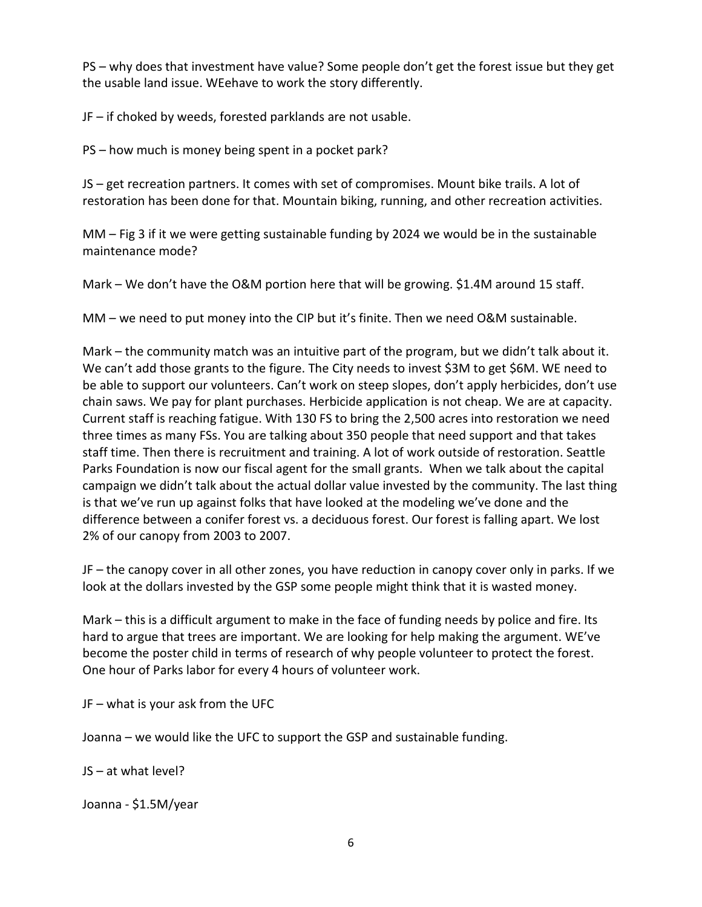PS – why does that investment have value? Some people don't get the forest issue but they get the usable land issue. WEehave to work the story differently.

JF – if choked by weeds, forested parklands are not usable.

PS – how much is money being spent in a pocket park?

JS – get recreation partners. It comes with set of compromises. Mount bike trails. A lot of restoration has been done for that. Mountain biking, running, and other recreation activities.

MM – Fig 3 if it we were getting sustainable funding by 2024 we would be in the sustainable maintenance mode?

Mark – We don't have the O&M portion here that will be growing. \$1.4M around 15 staff.

MM – we need to put money into the CIP but it's finite. Then we need O&M sustainable.

Mark – the community match was an intuitive part of the program, but we didn't talk about it. We can't add those grants to the figure. The City needs to invest \$3M to get \$6M. WE need to be able to support our volunteers. Can't work on steep slopes, don't apply herbicides, don't use chain saws. We pay for plant purchases. Herbicide application is not cheap. We are at capacity. Current staff is reaching fatigue. With 130 FS to bring the 2,500 acres into restoration we need three times as many FSs. You are talking about 350 people that need support and that takes staff time. Then there is recruitment and training. A lot of work outside of restoration. Seattle Parks Foundation is now our fiscal agent for the small grants. When we talk about the capital campaign we didn't talk about the actual dollar value invested by the community. The last thing is that we've run up against folks that have looked at the modeling we've done and the difference between a conifer forest vs. a deciduous forest. Our forest is falling apart. We lost 2% of our canopy from 2003 to 2007.

JF – the canopy cover in all other zones, you have reduction in canopy cover only in parks. If we look at the dollars invested by the GSP some people might think that it is wasted money.

Mark – this is a difficult argument to make in the face of funding needs by police and fire. Its hard to argue that trees are important. We are looking for help making the argument. WE've become the poster child in terms of research of why people volunteer to protect the forest. One hour of Parks labor for every 4 hours of volunteer work.

JF – what is your ask from the UFC

Joanna – we would like the UFC to support the GSP and sustainable funding.

JS – at what level?

Joanna - \$1.5M/year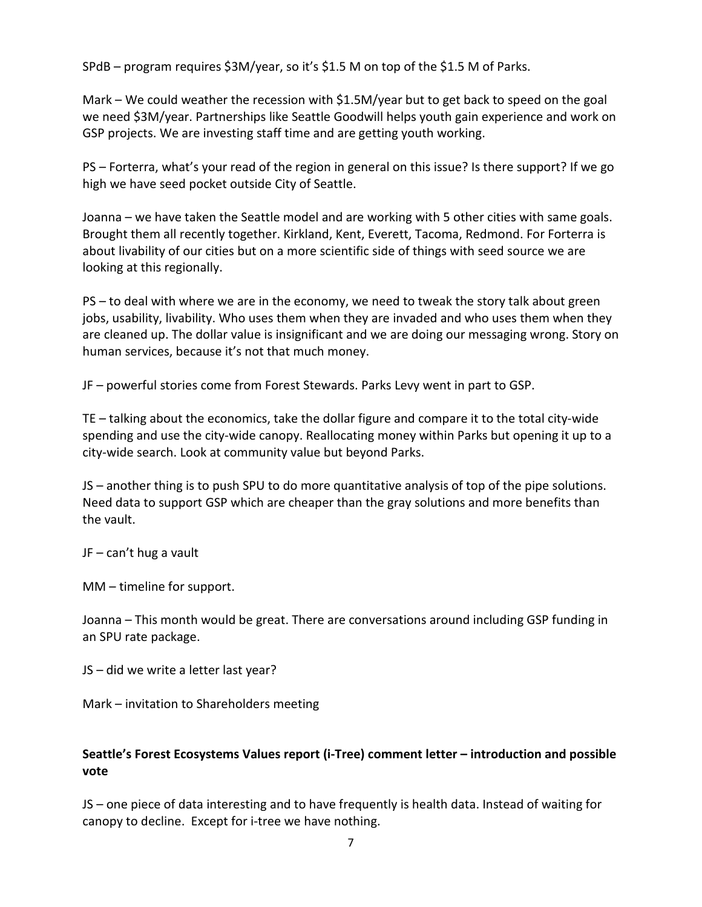SPdB – program requires \$3M/year, so it's \$1.5 M on top of the \$1.5 M of Parks.

Mark – We could weather the recession with \$1.5M/year but to get back to speed on the goal we need \$3M/year. Partnerships like Seattle Goodwill helps youth gain experience and work on GSP projects. We are investing staff time and are getting youth working.

PS – Forterra, what's your read of the region in general on this issue? Is there support? If we go high we have seed pocket outside City of Seattle.

Joanna – we have taken the Seattle model and are working with 5 other cities with same goals. Brought them all recently together. Kirkland, Kent, Everett, Tacoma, Redmond. For Forterra is about livability of our cities but on a more scientific side of things with seed source we are looking at this regionally.

PS – to deal with where we are in the economy, we need to tweak the story talk about green jobs, usability, livability. Who uses them when they are invaded and who uses them when they are cleaned up. The dollar value is insignificant and we are doing our messaging wrong. Story on human services, because it's not that much money.

JF – powerful stories come from Forest Stewards. Parks Levy went in part to GSP.

TE – talking about the economics, take the dollar figure and compare it to the total city-wide spending and use the city-wide canopy. Reallocating money within Parks but opening it up to a city-wide search. Look at community value but beyond Parks.

JS – another thing is to push SPU to do more quantitative analysis of top of the pipe solutions. Need data to support GSP which are cheaper than the gray solutions and more benefits than the vault.

JF – can't hug a vault

MM – timeline for support.

Joanna – This month would be great. There are conversations around including GSP funding in an SPU rate package.

JS – did we write a letter last year?

Mark – invitation to Shareholders meeting

# **Seattle's Forest Ecosystems Values report (i-Tree) comment letter – introduction and possible vote**

JS – one piece of data interesting and to have frequently is health data. Instead of waiting for canopy to decline. Except for i-tree we have nothing.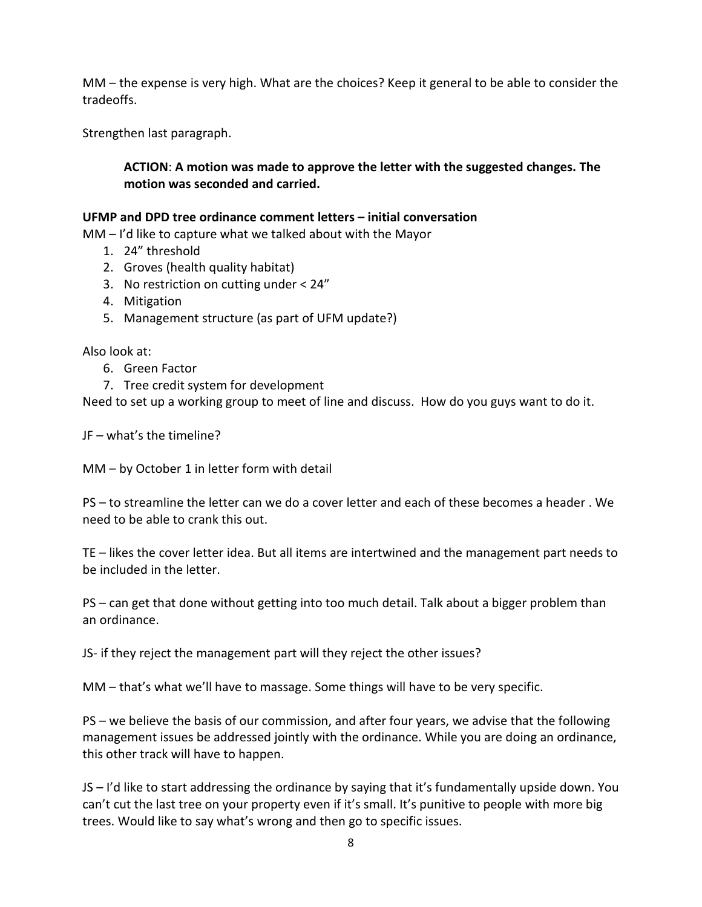MM – the expense is very high. What are the choices? Keep it general to be able to consider the tradeoffs.

Strengthen last paragraph.

## **ACTION**: **A motion was made to approve the letter with the suggested changes. The motion was seconded and carried.**

#### **UFMP and DPD tree ordinance comment letters – initial conversation**

MM – I'd like to capture what we talked about with the Mayor

- 1. 24" threshold
- 2. Groves (health quality habitat)
- 3. No restriction on cutting under < 24"
- 4. Mitigation
- 5. Management structure (as part of UFM update?)

Also look at:

- 6. Green Factor
- 7. Tree credit system for development

Need to set up a working group to meet of line and discuss. How do you guys want to do it.

JF – what's the timeline?

MM – by October 1 in letter form with detail

PS – to streamline the letter can we do a cover letter and each of these becomes a header . We need to be able to crank this out.

TE – likes the cover letter idea. But all items are intertwined and the management part needs to be included in the letter.

PS – can get that done without getting into too much detail. Talk about a bigger problem than an ordinance.

JS- if they reject the management part will they reject the other issues?

MM – that's what we'll have to massage. Some things will have to be very specific.

PS – we believe the basis of our commission, and after four years, we advise that the following management issues be addressed jointly with the ordinance. While you are doing an ordinance, this other track will have to happen.

JS – I'd like to start addressing the ordinance by saying that it's fundamentally upside down. You can't cut the last tree on your property even if it's small. It's punitive to people with more big trees. Would like to say what's wrong and then go to specific issues.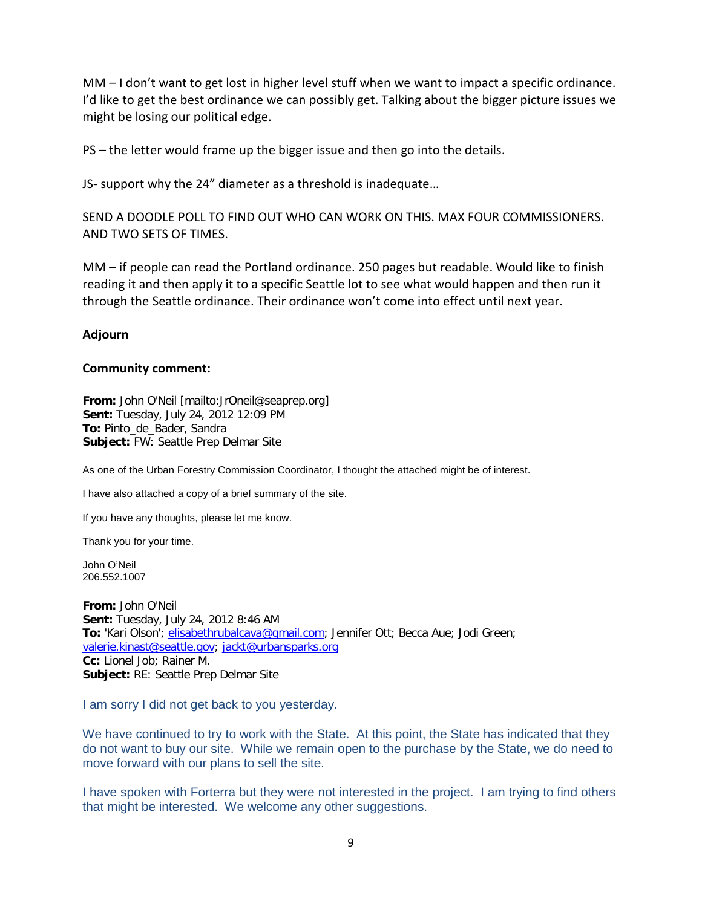MM – I don't want to get lost in higher level stuff when we want to impact a specific ordinance. I'd like to get the best ordinance we can possibly get. Talking about the bigger picture issues we might be losing our political edge.

PS – the letter would frame up the bigger issue and then go into the details.

JS- support why the 24" diameter as a threshold is inadequate…

SEND A DOODLE POLL TO FIND OUT WHO CAN WORK ON THIS. MAX FOUR COMMISSIONERS. AND TWO SETS OF TIMES.

MM – if people can read the Portland ordinance. 250 pages but readable. Would like to finish reading it and then apply it to a specific Seattle lot to see what would happen and then run it through the Seattle ordinance. Their ordinance won't come into effect until next year.

### **Adjourn**

#### **Community comment:**

**From:** John O'Neil [mailto:JrOneil@seaprep.org] **Sent:** Tuesday, July 24, 2012 12:09 PM **To:** Pinto\_de\_Bader, Sandra **Subject:** FW: Seattle Prep Delmar Site

As one of the Urban Forestry Commission Coordinator, I thought the attached might be of interest.

I have also attached a copy of a brief summary of the site.

If you have any thoughts, please let me know.

Thank you for your time.

John O'Neil 206.552.1007

**From:** John O'Neil **Sent:** Tuesday, July 24, 2012 8:46 AM **To:** 'Kari Olson'; [elisabethrubalcava@gmail.com;](mailto:elisabethrubalcava@gmail.com) Jennifer Ott; Becca Aue; Jodi Green; [valerie.kinast@seattle.gov;](mailto:valerie.kinast@seattle.gov) [jackt@urbansparks.org](mailto:jackt@urbansparks.org) **Cc:** Lionel Job; Rainer M. **Subject:** RE: Seattle Prep Delmar Site

I am sorry I did not get back to you yesterday.

We have continued to try to work with the State. At this point, the State has indicated that they do not want to buy our site. While we remain open to the purchase by the State, we do need to move forward with our plans to sell the site.

I have spoken with Forterra but they were not interested in the project. I am trying to find others that might be interested. We welcome any other suggestions.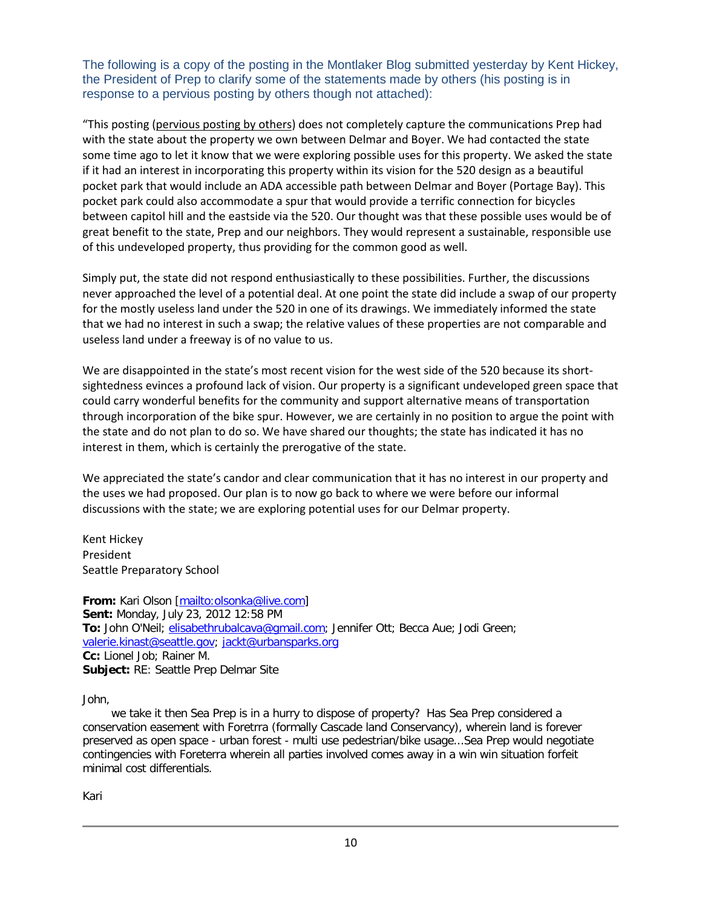The following is a copy of the posting in the Montlaker Blog submitted yesterday by Kent Hickey, the President of Prep to clarify some of the statements made by others (his posting is in response to a pervious posting by others though not attached):

"This posting (pervious posting by others) does not completely capture the communications Prep had with the state about the property we own between Delmar and Boyer. We had contacted the state some time ago to let it know that we were exploring possible uses for this property. We asked the state if it had an interest in incorporating this property within its vision for the 520 design as a beautiful pocket park that would include an ADA accessible path between Delmar and Boyer (Portage Bay). This pocket park could also accommodate a spur that would provide a terrific connection for bicycles between capitol hill and the eastside via the 520. Our thought was that these possible uses would be of great benefit to the state, Prep and our neighbors. They would represent a sustainable, responsible use of this undeveloped property, thus providing for the common good as well.

Simply put, the state did not respond enthusiastically to these possibilities. Further, the discussions never approached the level of a potential deal. At one point the state did include a swap of our property for the mostly useless land under the 520 in one of its drawings. We immediately informed the state that we had no interest in such a swap; the relative values of these properties are not comparable and useless land under a freeway is of no value to us.

We are disappointed in the state's most recent vision for the west side of the 520 because its shortsightedness evinces a profound lack of vision. Our property is a significant undeveloped green space that could carry wonderful benefits for the community and support alternative means of transportation through incorporation of the bike spur. However, we are certainly in no position to argue the point with the state and do not plan to do so. We have shared our thoughts; the state has indicated it has no interest in them, which is certainly the prerogative of the state.

We appreciated the state's candor and clear communication that it has no interest in our property and the uses we had proposed. Our plan is to now go back to where we were before our informal discussions with the state; we are exploring potential uses for our Delmar property.

Kent Hickey President Seattle Preparatory School

**From:** Kari Olson [\[mailto:olsonka@live.com\]](mailto:olsonka@live.com) **Sent:** Monday, July 23, 2012 12:58 PM **To:** John O'Neil; [elisabethrubalcava@gmail.com;](mailto:elisabethrubalcava@gmail.com) Jennifer Ott; Becca Aue; Jodi Green; [valerie.kinast@seattle.gov;](mailto:valerie.kinast@seattle.gov) [jackt@urbansparks.org](mailto:jackt@urbansparks.org) **Cc:** Lionel Job; Rainer M. **Subject:** RE: Seattle Prep Delmar Site

John,

 we take it then Sea Prep is in a hurry to dispose of property? Has Sea Prep considered a conservation easement with Foretrra (formally Cascade land Conservancy), wherein land is forever preserved as open space - urban forest - multi use pedestrian/bike usage...Sea Prep would negotiate contingencies with Foreterra wherein all parties involved comes away in a win win situation forfeit minimal cost differentials.

Kari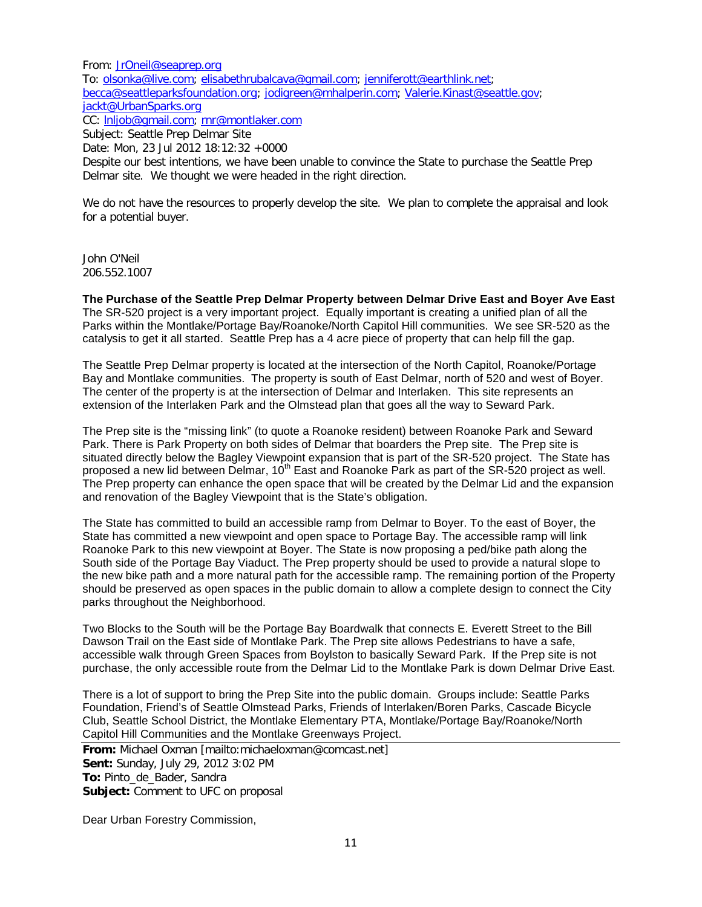From: [JrOneil@seaprep.org](mailto:JrOneil@seaprep.org) To: [olsonka@live.com;](mailto:olsonka@live.com) [elisabethrubalcava@gmail.com;](mailto:elisabethrubalcava@gmail.com) [jenniferott@earthlink.net;](mailto:jenniferott@earthlink.net) [becca@seattleparksfoundation.org;](mailto:becca@seattleparksfoundation.org) [jodigreen@mhalperin.com;](mailto:jodigreen@mhalperin.com) [Valerie.Kinast@seattle.gov;](mailto:Valerie.Kinast@seattle.gov) [jackt@UrbanSparks.org](mailto:jackt@UrbanSparks.org) CC: [lnljob@gmail.com;](mailto:lnljob@gmail.com) [rnr@montlaker.com](mailto:rnr@montlaker.com) Subject: Seattle Prep Delmar Site

Date: Mon, 23 Jul 2012 18:12:32 +0000

Despite our best intentions, we have been unable to convince the State to purchase the Seattle Prep Delmar site. We thought we were headed in the right direction.

We do not have the resources to properly develop the site. We plan to complete the appraisal and look for a potential buyer.

John O'Neil 206.552.1007

**The Purchase of the Seattle Prep Delmar Property between Delmar Drive East and Boyer Ave East** The SR-520 project is a very important project. Equally important is creating a unified plan of all the Parks within the Montlake/Portage Bay/Roanoke/North Capitol Hill communities. We see SR-520 as the catalysis to get it all started. Seattle Prep has a 4 acre piece of property that can help fill the gap.

The Seattle Prep Delmar property is located at the intersection of the North Capitol, Roanoke/Portage Bay and Montlake communities. The property is south of East Delmar, north of 520 and west of Boyer. The center of the property is at the intersection of Delmar and Interlaken. This site represents an extension of the Interlaken Park and the Olmstead plan that goes all the way to Seward Park.

The Prep site is the "missing link" (to quote a Roanoke resident) between Roanoke Park and Seward Park. There is Park Property on both sides of Delmar that boarders the Prep site. The Prep site is situated directly below the Bagley Viewpoint expansion that is part of the SR-520 project. The State has proposed a new lid between Delmar, 10<sup>th</sup> East and Roanoke Park as part of the SR-520 project as well. The Prep property can enhance the open space that will be created by the Delmar Lid and the expansion and renovation of the Bagley Viewpoint that is the State's obligation.

The State has committed to build an accessible ramp from Delmar to Boyer. To the east of Boyer, the State has committed a new viewpoint and open space to Portage Bay. The accessible ramp will link Roanoke Park to this new viewpoint at Boyer. The State is now proposing a ped/bike path along the South side of the Portage Bay Viaduct. The Prep property should be used to provide a natural slope to the new bike path and a more natural path for the accessible ramp. The remaining portion of the Property should be preserved as open spaces in the public domain to allow a complete design to connect the City parks throughout the Neighborhood.

Two Blocks to the South will be the Portage Bay Boardwalk that connects E. Everett Street to the Bill Dawson Trail on the East side of Montlake Park. The Prep site allows Pedestrians to have a safe, accessible walk through Green Spaces from Boylston to basically Seward Park. If the Prep site is not purchase, the only accessible route from the Delmar Lid to the Montlake Park is down Delmar Drive East.

There is a lot of support to bring the Prep Site into the public domain. Groups include: Seattle Parks Foundation, Friend's of Seattle Olmstead Parks, Friends of Interlaken/Boren Parks, Cascade Bicycle Club, Seattle School District, the Montlake Elementary PTA, Montlake/Portage Bay/Roanoke/North Capitol Hill Communities and the Montlake Greenways Project.

**From:** Michael Oxman [mailto:michaeloxman@comcast.net] **Sent:** Sunday, July 29, 2012 3:02 PM **To:** Pinto\_de\_Bader, Sandra **Subject:** Comment to UFC on proposal

Dear Urban Forestry Commission,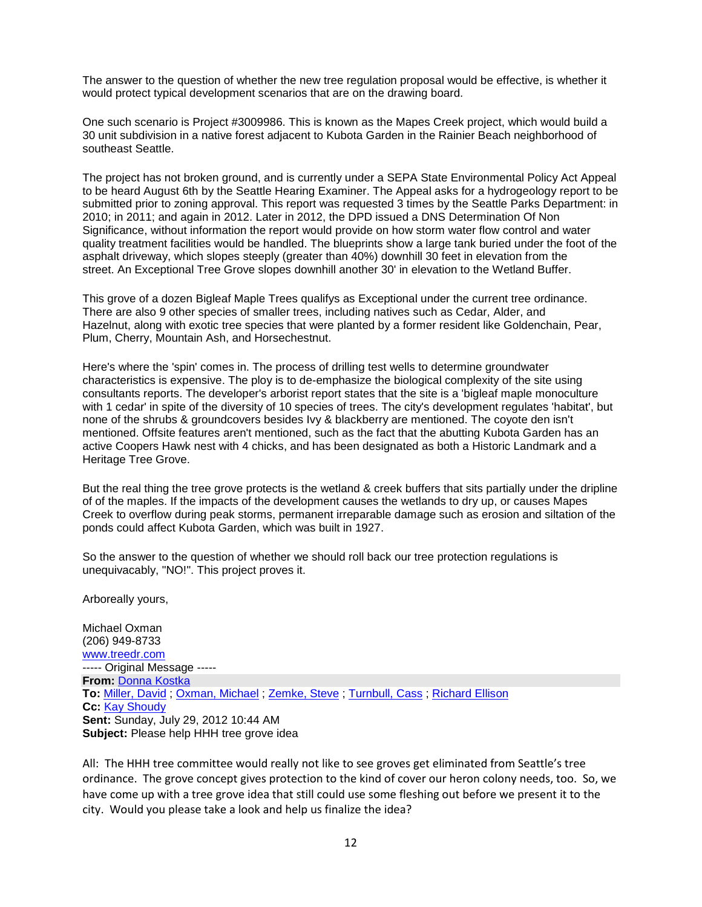The answer to the question of whether the new tree regulation proposal would be effective, is whether it would protect typical development scenarios that are on the drawing board.

One such scenario is Project #3009986. This is known as the Mapes Creek project, which would build a 30 unit subdivision in a native forest adjacent to Kubota Garden in the Rainier Beach neighborhood of southeast Seattle.

The project has not broken ground, and is currently under a SEPA State Environmental Policy Act Appeal to be heard August 6th by the Seattle Hearing Examiner. The Appeal asks for a hydrogeology report to be submitted prior to zoning approval. This report was requested 3 times by the Seattle Parks Department: in 2010; in 2011; and again in 2012. Later in 2012, the DPD issued a DNS Determination Of Non Significance, without information the report would provide on how storm water flow control and water quality treatment facilities would be handled. The blueprints show a large tank buried under the foot of the asphalt driveway, which slopes steeply (greater than 40%) downhill 30 feet in elevation from the street. An Exceptional Tree Grove slopes downhill another 30' in elevation to the Wetland Buffer.

This grove of a dozen Bigleaf Maple Trees qualifys as Exceptional under the current tree ordinance. There are also 9 other species of smaller trees, including natives such as Cedar, Alder, and Hazelnut, along with exotic tree species that were planted by a former resident like Goldenchain, Pear, Plum, Cherry, Mountain Ash, and Horsechestnut.

Here's where the 'spin' comes in. The process of drilling test wells to determine groundwater characteristics is expensive. The ploy is to de-emphasize the biological complexity of the site using consultants reports. The developer's arborist report states that the site is a 'bigleaf maple monoculture with 1 cedar' in spite of the diversity of 10 species of trees. The city's development regulates 'habitat', but none of the shrubs & groundcovers besides Ivy & blackberry are mentioned. The coyote den isn't mentioned. Offsite features aren't mentioned, such as the fact that the abutting Kubota Garden has an active Coopers Hawk nest with 4 chicks, and has been designated as both a Historic Landmark and a Heritage Tree Grove.

But the real thing the tree grove protects is the wetland & creek buffers that sits partially under the dripline of of the maples. If the impacts of the development causes the wetlands to dry up, or causes Mapes Creek to overflow during peak storms, permanent irreparable damage such as erosion and siltation of the ponds could affect Kubota Garden, which was built in 1927.

So the answer to the question of whether we should roll back our tree protection regulations is unequivacably, "NO!". This project proves it.

Arboreally yours,

Michael Oxman (206) 949-8733 [www.treedr.com](http://www.treedr.com/) ----- Original Message ----- **From:** [Donna Kostka](mailto:donna4510@comcast.net) **To:** [Miller, David](mailto:david.miller@mapleleafcommunity.org) ; [Oxman, Michael](mailto:michaeloxman@comcast.net) ; [Zemke, Steve](mailto:stevezemke@msn.com) ; [Turnbull, Cass](mailto:cass@plantamnesty.ccsend.com) ; [Richard Ellison](mailto:richard_ellison@hotmail.com) **Cc:** [Kay Shoudy](mailto:shoudypk@comcast.net) **Sent:** Sunday, July 29, 2012 10:44 AM **Subject:** Please help HHH tree grove idea

All: The HHH tree committee would really not like to see groves get eliminated from Seattle's tree ordinance. The grove concept gives protection to the kind of cover our heron colony needs, too. So, we have come up with a tree grove idea that still could use some fleshing out before we present it to the city. Would you please take a look and help us finalize the idea?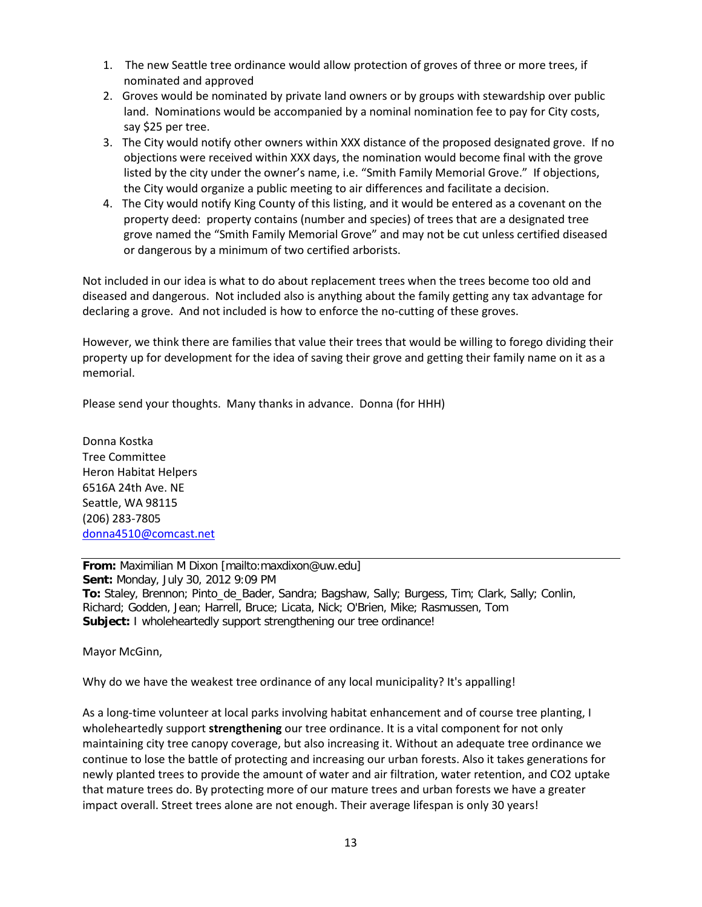- 1. The new Seattle tree ordinance would allow protection of groves of three or more trees, if nominated and approved
- 2. Groves would be nominated by private land owners or by groups with stewardship over public land. Nominations would be accompanied by a nominal nomination fee to pay for City costs, say \$25 per tree.
- 3. The City would notify other owners within XXX distance of the proposed designated grove. If no objections were received within XXX days, the nomination would become final with the grove listed by the city under the owner's name, i.e. "Smith Family Memorial Grove." If objections, the City would organize a public meeting to air differences and facilitate a decision.
- 4. The City would notify King County of this listing, and it would be entered as a covenant on the property deed: property contains (number and species) of trees that are a designated tree grove named the "Smith Family Memorial Grove" and may not be cut unless certified diseased or dangerous by a minimum of two certified arborists.

Not included in our idea is what to do about replacement trees when the trees become too old and diseased and dangerous. Not included also is anything about the family getting any tax advantage for declaring a grove. And not included is how to enforce the no-cutting of these groves.

However, we think there are families that value their trees that would be willing to forego dividing their property up for development for the idea of saving their grove and getting their family name on it as a memorial.

Please send your thoughts. Many thanks in advance. Donna (for HHH)

Donna Kostka Tree Committee Heron Habitat Helpers 6516A 24th Ave. NE Seattle, WA 98115 (206) 283-7805 [donna4510@comcast.net](mailto:donna4510@comcast.net)

**From:** Maximilian M Dixon [mailto:maxdixon@uw.edu] **Sent:** Monday, July 30, 2012 9:09 PM **To:** Staley, Brennon; Pinto\_de\_Bader, Sandra; Bagshaw, Sally; Burgess, Tim; Clark, Sally; Conlin, Richard; Godden, Jean; Harrell, Bruce; Licata, Nick; O'Brien, Mike; Rasmussen, Tom **Subject:** I wholeheartedly support strengthening our tree ordinance!

Mayor McGinn,

Why do we have the weakest tree ordinance of any local municipality? It's appalling!

As a long-time volunteer at local parks involving habitat enhancement and of course tree planting, I wholeheartedly support **strengthening** our tree ordinance. It is a vital component for not only maintaining city tree canopy coverage, but also increasing it. Without an adequate tree ordinance we continue to lose the battle of protecting and increasing our urban forests. Also it takes generations for newly planted trees to provide the amount of water and air filtration, water retention, and CO2 uptake that mature trees do. By protecting more of our mature trees and urban forests we have a greater impact overall. Street trees alone are not enough. Their average lifespan is only 30 years!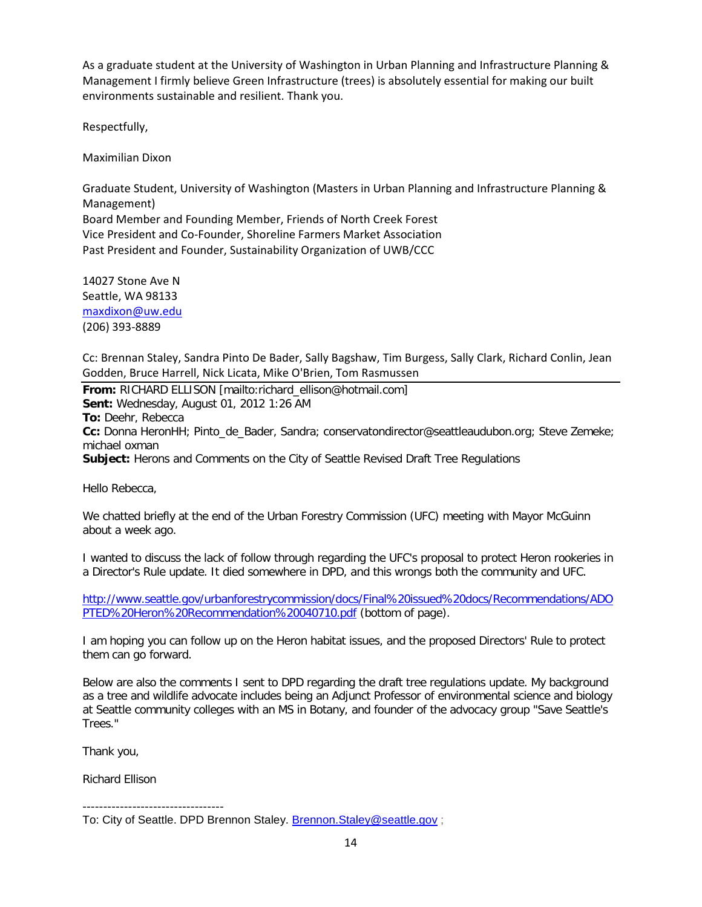As a graduate student at the University of Washington in Urban Planning and Infrastructure Planning & Management I firmly believe Green Infrastructure (trees) is absolutely essential for making our built environments sustainable and resilient. Thank you.

Respectfully,

Maximilian Dixon

Graduate Student, University of Washington (Masters in Urban Planning and Infrastructure Planning & Management) Board Member and Founding Member, Friends of North Creek Forest Vice President and Co-Founder, Shoreline Farmers Market Association Past President and Founder, Sustainability Organization of UWB/CCC

14027 Stone Ave N Seattle, WA 98133 [maxdixon@uw.edu](mailto:maxdixon@uw.edu) (206) 393-8889

Cc: Brennan Staley, Sandra Pinto De Bader, Sally Bagshaw, Tim Burgess, Sally Clark, Richard Conlin, Jean Godden, Bruce Harrell, Nick Licata, Mike O'Brien, Tom Rasmussen

**From:** RICHARD ELLISON [mailto:richard\_ellison@hotmail.com] **Sent:** Wednesday, August 01, 2012 1:26 AM **To:** Deehr, Rebecca **Cc:** Donna HeronHH; Pinto\_de\_Bader, Sandra; conservatondirector@seattleaudubon.org; Steve Zemeke; michael oxman **Subject:** Herons and Comments on the City of Seattle Revised Draft Tree Regulations

Hello Rebecca,

We chatted briefly at the end of the Urban Forestry Commission (UFC) meeting with Mayor McGuinn about a week ago.

I wanted to discuss the lack of follow through regarding the UFC's proposal to protect Heron rookeries in a Director's Rule update. It died somewhere in DPD, and this wrongs both the community and UFC.

[http://www.seattle.gov/urbanforestrycommission/docs/Final%20issued%20docs/Recommendations/ADO](http://www.seattle.gov/urbanforestrycommission/docs/Final%20issued%20docs/Recommendations/ADOPTED%20Heron%20Recommendation%20040710.pdf) [PTED%20Heron%20Recommendation%20040710.pdf](http://www.seattle.gov/urbanforestrycommission/docs/Final%20issued%20docs/Recommendations/ADOPTED%20Heron%20Recommendation%20040710.pdf) (bottom of page).

I am hoping you can follow up on the Heron habitat issues, and the proposed Directors' Rule to protect them can go forward.

Below are also the comments I sent to DPD regarding the draft tree regulations update. My background as a tree and wildlife advocate includes being an Adjunct Professor of environmental science and biology at Seattle community colleges with an MS in Botany, and founder of the advocacy group "Save Seattle's Trees."

Thank you,

Richard Ellison

----------------------------------

To: City of Seattle. DPD Brennon Staley. [Brennon.Staley@seattle.gov](mailto:Brennon.Staley@seattle.gov) ;